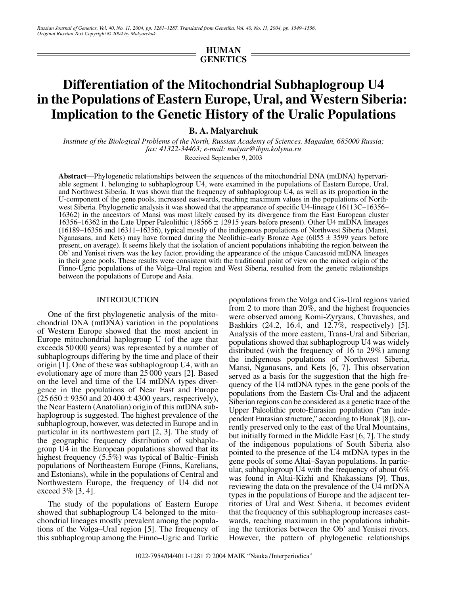# **HUMAN GENETICS**

# **Differentiation of the Mitochondrial Subhaplogroup U4 in the Populations of Eastern Europe, Ural, and Western Siberia: Implication to the Genetic History of the Uralic Populations**

**B. A. Malyarchuk**

*Institute of the Biological Problems of the North, Russian Academy of Sciences, Magadan, 685000 Russia; fax: 41322-34463; e-mail: malyar@ibpn.kolyma.ru* Received September 9, 2003

**Abstract**—Phylogenetic relationships between the sequences of the mitochondrial DNA (mtDNA) hypervariable segment 1, belonging to subhaplogroup U4, were examined in the populations of Eastern Europe, Ural, and Northwest Siberia. It was shown that the frequency of subhaplogroup U4, as well as its proportion in the U-component of the gene pools, increased eastwards, reaching maximum values in the populations of Northwest Siberia. Phylogenetic analysis it was showed that the appearance of specific U4-lineage (16113C–16356– 16362) in the ancestors of Mansi was most likely caused by its divergence from the East European cluster 16356–16362 in the Late Upper Paleolithic (18566 ± 12915 years before present). Other U4 mtDNA lineages (16189–16356 and 16311–16356), typical mostly of the indigenous populations of Northwest Siberia (Mansi, Nganasans, and Kets) may have formed during the Neolithic–early Bronze Age ( $6055 \pm 3599$  years before present, on average). It seems likely that the isolation of ancient populations inhabiting the region between the Ob' and Yenisei rivers was the key factor, providing the appearance of the unique Caucasoid mtDNA lineages in their gene pools. These results were consistent with the traditional point of view on the mixed origin of the Finno-Ugric populations of the Volga–Ural region and West Siberia, resulted from the genetic relationships between the populations of Europe and Asia.

## INTRODUCTION

One of the first phylogenetic analysis of the mitochondrial DNA (mtDNA) variation in the populations of Western Europe showed that the most ancient in Europe mitochondrial haplogroup U (of the age that exceeds 50 000 years) was represented by a number of subhaplogroups differing by the time and place of their origin [1]. One of these was subhaplogroup U4, with an evolutionary age of more than 25 000 years [2]. Based on the level and time of the U4 mtDNA types divergence in the populations of Near East and Europe  $(25 650 \pm 9350 \text{ and } 20 400 \pm 4300 \text{ years},$  respectively), the Near Eastern (Anatolian) origin of this mtDNA subhaplogroup is suggested. The highest prevalence of the subhaplogroup, however, was detected in Europe and in particular in its northwestern part [2, 3]. The study of the geographic frequency distribution of subhaplogroup U4 in the European populations showed that its highest frequency (5.5%) was typical of Baltic–Finish populations of Northeastern Europe (Finns, Karelians, and Estonians), while in the populations of Central and Northwestern Europe, the frequency of U4 did not exceed 3% [3, 4].

The study of the populations of Eastern Europe showed that subhaplogroup U4 belonged to the mitochondrial lineages mostly prevalent among the populations of the Volga–Ural region [5]. The frequency of this subhaplogroup among the Finno–Ugric and Turkic populations from the Volga and Cis-Ural regions varied from 2 to more than 20%, and the highest frequencies were observed among Komi-Zyryans, Chuvashes, and Bashkirs (24.2, 16.4, and 12.7%, respectively) [5]. Analysis of the more eastern, Trans-Ural and Siberian, populations showed that subhaplogroup U4 was widely distributed (with the frequency of 16 to 29%) among the indigenous populations of Northwest Siberia, Mansi, Nganasans, and Kets [6, 7]. This observation served as a basis for the suggestion that the high frequency of the U4 mtDNA types in the gene pools of the populations from the Eastern Cis-Ural and the adjacent Siberian regions can be considered as a genetic trace of the Upper Paleolithic proto-Eurasian population ("an independent Eurasian structure," according to Bunak [8]), currently preserved only to the east of the Ural Mountains, but initially formed in the Middle East [6, 7]. The study of the indigenous populations of South Siberia also pointed to the presence of the U4 mtDNA types in the gene pools of some Altai–Sayan populations. In particular, subhaplogroup U4 with the frequency of about 6% was found in Altai-Kizhi and Khakassians [9]. Thus, reviewing the data on the prevalence of the U4 mtDNA types in the populations of Europe and the adjacent territories of Ural and West Siberia, it becomes evident that the frequency of this subhaplogroup increases eastwards, reaching maximum in the populations inhabiting the territories between the Ob' and Yenisei rivers. However, the pattern of phylogenetic relationships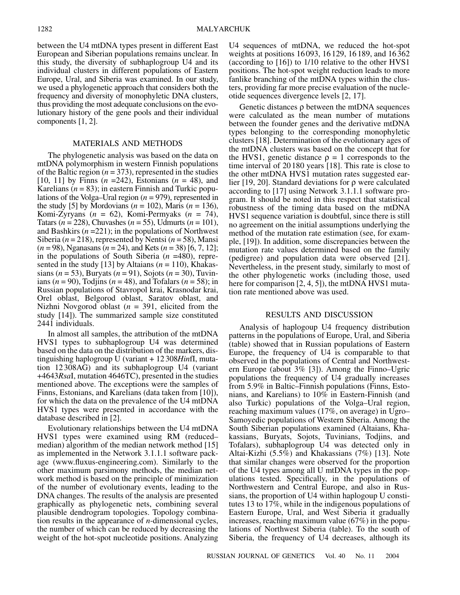between the U4 mtDNA types present in different East European and Siberian populations remains unclear. In this study, the diversity of subhaplogroup U4 and its individual clusters in different populations of Eastern Europe, Ural, and Siberia was examined. In our study, we used a phylogenetic approach that considers both the frequency and diversity of monophyletic DNA clusters, thus providing the most adequate conclusions on the evolutionary history of the gene pools and their individual components [1, 2].

#### MATERIALS AND METHODS

The phylogenetic analysis was based on the data on mtDNA polymorphism in western Finnish populations of the Baltic region  $(n = 373)$ , represented in the studies [10, 11] by Finns (*n* =242), Estonians (*n* = 48), and Karelians  $(n = 83)$ ; in eastern Finnish and Turkic populations of the Volga–Ural region (*n* = 979), represented in the study [5] by Mordovians  $(n = 102)$ , Maris  $(n = 136)$ , Komi-Zyryans (*n* = 62), Komi-Permyaks (*n* = 74), Tatars (*n* = 228), Chuvashes (*n* = 55), Udmurts (*n* = 101), and Bashkirs (*n* =221); in the populations of Northwest Siberia (*n* = 218), represented by Nentsi (*n* = 58), Mansi (*n* = 98), Nganasans (*n* = 24), and Kets (*n* = 38) [6, 7, 12]; in the populations of South Siberia (*n* =480), represented in the study [13] by Altaians ( $n = 110$ ), Khakassians (*n* = 53), Buryats (*n* = 91), Sojots (*n* = 30), Tuvinians  $(n = 90)$ , Todjins  $(n = 48)$ , and Tofalars  $(n = 58)$ ; in Russian populations of Stavropol krai, Krasnodar krai, Orel oblast, Belgorod oblast, Saratov oblast, and Nizhni Novgorod oblast (*n* = 391, elicited from the study [14]). The summarized sample size constituted 2441 individuals.

In almost all samples, the attribution of the mtDNA HVS1 types to subhaplogroup U4 was determined based on the data on the distribution of the markers, distinguishing haplogroup U (variant + 12 308*Hin*fI, mutation 12 308AG) and its subhaplogroup U4 (variant +4643*Rsa*I, mutation 4646TC), presented in the studies mentioned above. The exceptions were the samples of Finns, Estonians, and Karelians (data taken from [10]), for which the data on the prevalence of the U4 mtDNA HVS1 types were presented in accordance with the database described in [2].

Evolutionary relationships between the U4 mtDNA HVS1 types were examined using RM (reduced– median) algorithm of the median network method [15] as implemented in the Network 3.1.1.1 software package (www.fluxus-engineering.com). Similarly to the other maximum parsimony methods, the median network method is based on the principle of minimization of the number of evolutionary events, leading to the DNA changes. The results of the analysis are presented graphically as phylogenetic nets, combining several plausible dendrogram topologies. Topology combination results in the appearance of *n*-dimensional cycles, the number of which can be reduced by decreasing the weight of the hot-spot nucleotide positions. Analyzing U4 sequences of mtDNA, we reduced the hot-spot weights at positions 16 093, 16 129, 16 189, and 16 362 (according to [16]) to 1/10 relative to the other HVS1 positions. The hot-spot weight reduction leads to more fanlike branching of the mtDNA types within the clusters, providing far more precise evaluation of the nucleotide sequences divergence levels [2, 17].

Genetic distances ρ between the mtDNA sequences were calculated as the mean number of mutations between the founder genes and the derivative mtDNA types belonging to the corresponding monophyletic clusters [18]. Determination of the evolutionary ages of the mtDNA clusters was based on the concept that for the HVS1, genetic distance  $\rho = 1$  corresponds to the time interval of 20 180 years [18]. This rate is close to the other mtDNA HVS1 mutation rates suggested earlier [19, 20]. Standard deviations for ρ were calculated according to [17] using Network 3.1.1.1 software program. It should be noted in this respect that statistical robustness of the timing data based on the mtDNA HVS1 sequence variation is doubtful, since there is still no agreement on the initial assumptions underlying the method of the mutation rate estimation (see, for example, [19]). In addition, some discrepancies between the mutation rate values determined based on the family (pedigree) and population data were observed [21]. Nevertheless, in the present study, similarly to most of the other phylogenetic works (including those, used here for comparison [2, 4, 5]), the mtDNA HVS1 mutation rate mentioned above was used.

### RESULTS AND DISCUSSION

Analysis of haplogoup U4 frequency distribution patterns in the populations of Europe, Ural, and Siberia (table) showed that in Russian populations of Eastern Europe, the frequency of U4 is comparable to that observed in the populations of Central and Northwestern Europe (about 3% [3]). Among the Finno–Ugric populations the frequency of U4 gradually increases from 5.9% in Baltic–Finnish populations (Finns, Estonians, and Karelians) to 10% in Eastern-Finnish (and also Turkic) populations of the Volga–Ural region, reaching maximum values (17%, on average) in Ugro– Samoyedic populations of Western Siberia. Among the South Siberian populations examined (Altaians, Khakassians, Buryats, Sojots, Tuvinians, Todjins, and Tofalars), subhaplogroup U4 was detected only in Altai-Kizhi (5.5%) and Khakassians (7%) [13]. Note that similar changes were observed for the proportion of the U4 types among all U mtDNA types in the populations tested. Specifically, in the populations of Northwestern and Central Europe, and also in Russians, the proportion of U4 within haplogoup U constitutes 13 to 17%, while in the indigenous populations of Eastern Europe, Ural, and West Siberia it gradually increases, reaching maximum value (67%) in the populations of Northwest Siberia (table). To the south of Siberia, the frequency of U4 decreases, although its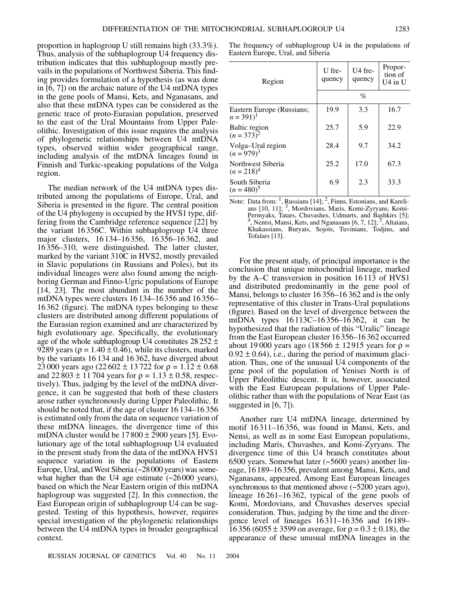The median network of the U4 mtDNA types distributed among the populations of Europe, Ural, and Siberia is presented in the figure. The central position of the U4 phylogeny is occupied by the HVS1 type, differing from the Cambridge reference sequence [22] by the variant 16 356C. Within subhaplogroup U4 three major clusters, 16 134–16 356, 16 356–16 362, and 16 356–310, were distinguished. The latter cluster, marked by the variant 310C in HVS2, mostly prevailed in Slavic populations (in Russians and Poles), but its individual lineages were also found among the neighboring German and Finno-Ugric populations of Europe [14, 23]. The most abundant in the number of the mtDNA types were clusters 16 134–16 356 and 16 356– 16 362 (figure). The mtDNA types belonging to these clusters are distributed among different populations of the Eurasian region examined and are characterized by high evolutionary age. Specifically, the evolutionary age of the whole subhaplogroup U4 constitutes  $28\,252 \pm$ 9289 years ( $\rho = 1.40 \pm 0.46$ ), while its clusters, marked by the variants 16 134 and 16 362, have diverged about 23 000 years ago (22 602  $\pm$  13 722 for  $\rho = 1.12 \pm 0.68$ and 22 803  $\pm$  11 704 years for  $\rho = 1.13 \pm 0.58$ , respectively). Thus, judging by the level of the mtDNA divergence, it can be suggested that both of these clusters arose rather synchronously during Upper Paleolithic. It should be noted that, if the age of cluster 16 134–16 356 is estimated only from the data on sequence variation of these mtDNA lineages, the divergence time of this mtDNA cluster would be  $17800 \pm 2900$  years [5]. Evolutionary age of the total subhaplogroup U4 evaluated in the present study from the data of the mtDNA HVS1 sequence variation in the populations of Eastern Europe, Ural, and West Siberia (~28000 years) was somewhat higher than the U4 age estimate  $(-26000 \text{ years})$ , based on which the Near Eastern origin of this mtDNA haplogroup was suggested [2]. In this connection, the East European origin of subhaplogroup U4 can be suggested. Testing of this hypothesis, however, requires special investigation of the phylogenetic relationships between the U4 mtDNA types in broader geographical context.

proportion in haplogroup U still remains high (33.3%). Thus, analysis of the subhaplogroup U4 frequency distribution indicates that this subhaplogoup mostly prevails in the populations of Northwest Siberia. This finding provides formulation of a hypothesis (as was done in [6, 7]) on the archaic nature of the U4 mtDNA types in the gene pools of Mansi, Kets, and Nganasans, and also that these mtDNA types can be considered as the genetic trace of proto-Eurasian population, preserved to the east of the Ural Mountains from Upper Paleolithic. Investigation of this issue requires the analysis of phylogenetic relationships between U4 mtDNA types, observed within wider geographical range, including analysis of the mtDNA lineages found in Finnish and Turkic-speaking populations of the Volga

region.

Note: Data from: <sup>1</sup>, Russians [14]; <sup>2</sup>, Finns, Estonians, and Karelians [10, 11]; <sup>3</sup>, Mordovians, Maris, Komi-Zyryans, Komi-Permyaks, Tatars, Chuvashes, Udmurts, and Bashkirs [5];<br><sup>4</sup> Nentsi Mansi Kets and Nganasans [6, 7, 12]<sup>, 5</sup> Altajans , Nentsi, Mansi, Kets, and Nganasans  $[6, 7, 12]$ ;  $\frac{5}{2}$ , Altaians, Khakassians, Buryats, Sojots, Tuvinians, Todjins, and Tofalars [13].

For the present study, of principal importance is the conclusion that unique mitochondrial lineage, marked by the A–C transversion in position 16 113 of HVS1 and distributed predominantly in the gene pool of Mansi, belongs to cluster 16 356–16 362 and is the only representative of this cluster in Trans-Ural populations (figure). Based on the level of divergence between the mtDNA types 16 113C–16 356–16 362, it can be hypothesized that the radiation of this "Uralic" lineage from the East European cluster 16 356–16 362 occurred about 19 000 years ago (18 566  $\pm$  12 915 years for  $\rho$  =  $0.92 \pm 0.64$ ), i.e., during the period of maximum glaciation. Thus, one of the unusual U4 components of the gene pool of the population of Yenisei North is of Upper Paleolithic descent. It is, however, associated with the East European populations of Upper Paleolithic rather than with the populations of Near East (as suggested in [6, 7]).

Another rare U4 mtDNA lineage, determined by motif 16 311–16 356, was found in Mansi, Kets, and Nensi, as well as in some East European populations, including Maris, Chuvashes, and Komi-Zyryans. The divergence time of this U4 branch constitutes about 6500 years. Somewhat later (~5600 years) another lineage, 16 189–16 356, prevalent among Mansi, Kets, and Nganasans, appeared. Among East European lineages synchronous to that mentioned above (~5200 years ago), lineage 16 261–16 362, typical of the gene pools of Komi, Mordovians, and Chuvashes deserves special consideration. Thus, judging by the time and the divergence level of lineages 16 311–16 356 and 16 189– 16 356 (6055  $\pm$  3599 on average, for  $\rho = 0.3 \pm 0.18$ ), the appearance of these unusual mtDNA lineages in the

The frequency of subhaplogroup U4 in the populations of Eastern Europe, Ural, and Siberia

| Region                                              | $U$ fre-<br>quency | $U4$ fre-<br>quency | Propor-<br>tion of<br>U4 in U |
|-----------------------------------------------------|--------------------|---------------------|-------------------------------|
|                                                     | $\%$               |                     |                               |
| Eastern Europe (Russians;<br>$n = 391$ <sup>1</sup> | 19.9               | 3.3                 | 16.7                          |
| Baltic region<br>$(n=373)^2$                        | 25.7               | 5.9                 | 22.9                          |
| Volga-Ural region<br>$(n=979)^3$                    | 28.4               | 9.7                 | 34.2                          |
| Northwest Siberia<br>$(n=218)^4$                    | 25.2               | 17.0                | 67.3                          |
| South Siberia<br>$(n = 480)^5$                      | 6.9                | 2.3                 | 33.3                          |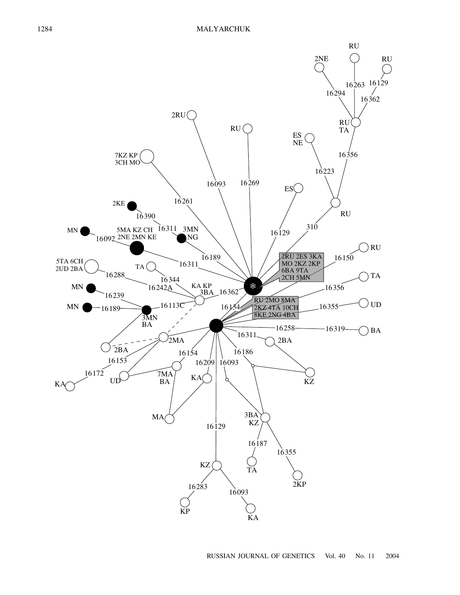

RUSSIAN JOURNAL OF GENETICS Vol. 40 No. 11 2004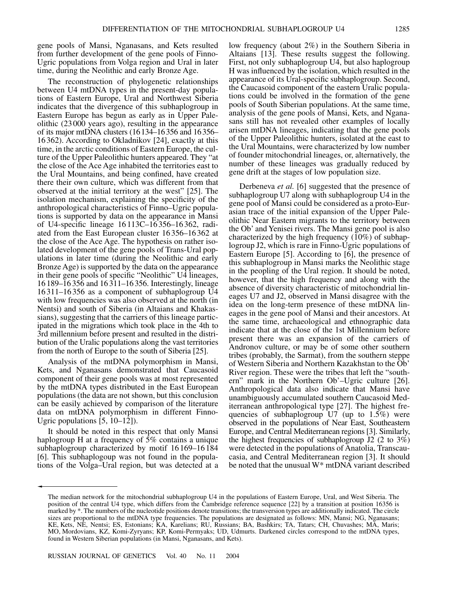gene pools of Mansi, Nganasans, and Kets resulted from further development of the gene pools of Finno-Ugric populations from Volga region and Ural in later time, during the Neolithic and early Bronze Age.

The reconstruction of phylogenetic relationships between U4 mtDNA types in the present-day populations of Eastern Europe, Ural and Northwest Siberia indicates that the divergence of this subhaplogroup in Eastern Europe has begun as early as in Upper Paleolithic (23 000 years ago), resulting in the appearance of its major mtDNA clusters (16134–16356 and 16356– 16 362). According to Okladnikov [24], exactly at this time, in the arctic conditions of Eastern Europe, the culture of the Upper Paleolithic hunters appeared. They "at the close of the Ace Age inhabited the territories east to the Ural Mountains, and being confined, have created there their own culture, which was different from that observed at the initial territory at the west" [25]. The isolation mechanism, explaining the specificity of the anthropological characteristics of Finno–Ugric populations is supported by data on the appearance in Mansi of U4-specific lineage 16 113C–16 356–16 362, radiated from the East European cluster 16 356–16 362 at the close of the Ace Age. The hypothesis on rather isolated development of the gene pools of Trans-Ural populations in later time (during the Neolithic and early Bronze Age) is supported by the data on the appearance in their gene pools of specific "Neolithic" U4 lineages, 16 189–16 356 and 16 311–16 356. Interestingly, lineage 16 311–16 356 as a component of subhaplogroup U4 with low frequencies was also observed at the north (in Nentsi) and south of Siberia (in Altaians and Khakassians), suggesting that the carriers of this lineage participated in the migrations which took place in the 4th to 3rd millennium before present and resulted in the distribution of the Uralic populations along the vast territories from the north of Europe to the south of Siberia [25].

Analysis of the mtDNA polymorphism in Mansi, Kets, and Nganasans demonstrated that Caucasoid component of their gene pools was at most represented by the mtDNA types distributed in the East European populations (the data are not shown, but this conclusion can be easily achieved by comparison of the literature data on mtDNA polymorphism in different Finno-Ugric populations  $[5, 10-12]$ ).

It should be noted in this respect that only Mansi haplogroup H at a frequency of 5% contains a unique subhaplogroup characterized by motif 16 169–16 184 [6]. This subhaplogoup was not found in the populations of the Volga–Ural region, but was detected at a low frequency (about 2%) in the Southern Siberia in Altaians [13]. These results suggest the following. First, not only subhaplogroup U4, but also haplogroup H was influenced by the isolation, which resulted in the appearance of its Ural-specific subhaplogroup. Second, the Caucasoid component of the eastern Uralic populations could be involved in the formation of the gene pools of South Siberian populations. At the same time, analysis of the gene pools of Mansi, Kets, and Nganasans still has not revealed other examples of locally arisen mtDNA lineages, indicating that the gene pools of the Upper Paleolithic hunters, isolated at the east to the Ural Mountains, were characterized by low number of founder mitochondrial lineages, or, alternatively, the number of these lineages was gradually reduced by gene drift at the stages of low population size.

Derbeneva *et al.* [6] suggested that the presence of subhaplogroup U7 along with subhaplogroup U4 in the gene pool of Mansi could be considered as a proto-Eurasian trace of the initial expansion of the Upper Paleolithic Near Eastern migrants to the territory between the Ob' and Yenisei rivers. The Mansi gene pool is also characterized by the high frequency (10%) of subhaplogroup J2, which is rare in Finno-Ugric populations of Eastern Europe [5]. According to [6], the presence of this subhaplogroup in Mansi marks the Neolithic stage in the peopling of the Ural region. It should be noted, however, that the high frequency and along with the absence of diversity characteristic of mitochondrial lineages U7 and J2, observed in Mansi disagree with the idea on the long-term presence of these mtDNA lineages in the gene pool of Mansi and their ancestors. At the same time, archaeological and ethnographic data indicate that at the close of the 1st Millennium before present there was an expansion of the carriers of Andronov culture, or may be of some other southern tribes (probably, the Sarmat), from the southern steppe of Western Siberia and Northern Kazakhstan to the Ob' River region. These were the tribes that left the "southern" mark in the Northern Ob'–Ugric culture [26]. Anthropological data also indicate that Mansi have unambiguously accumulated southern Caucasoid Mediterranean anthropological type [27]. The highest frequencies of subhaplogroup U7 (up to  $1.5\%$ ) were observed in the populations of Near East, Southeastern Europe, and Central Mediterranean regions [3]. Similarly, the highest frequencies of subhaplogroup J2 (2 to 3%) were detected in the populations of Anatolia, Transcaucasia, and Central Mediterranean region [3]. It should be noted that the unusual W\* mtDNA variant described

The median network for the mitochondrial subhaplogroup U4 in the populations of Eastern Europe, Ural, and West Siberia. The position of the central U4 type, which differs from the Cambridge reference sequence [22] by a transition at position 16356 is marked by \*. The numbers of the nucleotide positions denote transitions; the transversion types are additionally indicated. The circle sizes are proportional to the mtDNA type frequencies. The populations are designated as follows: MN, Mansi; NG, Nganasans; KE, Kets, NE, Nentsi; ES, Estonians; KA, Karelians; RU, Russians; BA, Bashkirs; TA, Tatars; CH, Chuvashes; MA, Maris; MO, Mordovians, KZ, Komi-Zyryans; KP, Komi-Permyaks; UD, Udmurts. Darkened circles correspond to the mtDNA types, found in Western Siberian populations (in Mansi, Nganasans, and Kets).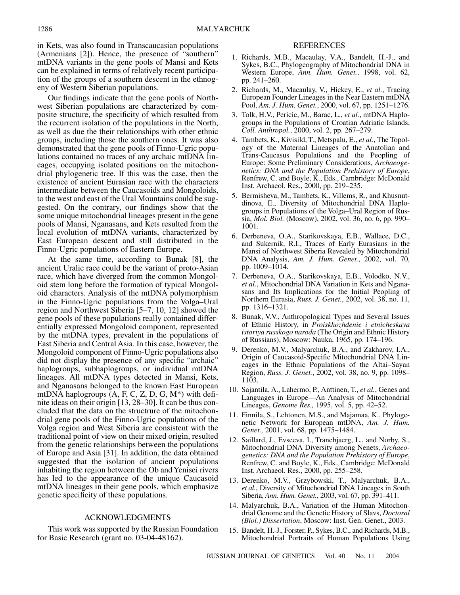in Kets, was also found in Transcaucasian populations (Armenians [2]). Hence, the presence of "southern" mtDNA variants in the gene pools of Mansi and Kets can be explained in terms of relatively recent participation of the groups of a southern descent in the ethnogeny of Western Siberian populations.

Our findings indicate that the gene pools of Northwest Siberian populations are characterized by composite structure, the specificity of which resulted from the recurrent isolation of the populations in the North, as well as due the their relationships with other ethnic groups, including those the southern ones. It was also demonstrated that the gene pools of Finno-Ugric populations contained no traces of any archaic mtDNA lineages, occupying isolated positions on the mitochondrial phylogenetic tree. If this was the case, then the existence of ancient Eurasian race with the characters intermediate between the Caucasoids and Mongoloids, to the west and east of the Ural Mountains could be suggested. On the contrary, our findings show that the some unique mitochondrial lineages present in the gene pools of Mansi, Nganasans, and Kets resulted from the local evolution of mtDNA variants, characterized by East European descent and still distributed in the Finno-Ugric populations of Eastern Europe.

At the same time, according to Bunak [8], the ancient Uralic race could be the variant of proto-Asian race, which have diverged from the common Mongoloid stem long before the formation of typical Mongoloid characters. Analysis of the mtDNA polymorphism in the Finno-Ugric populations from the Volga–Ural region and Northwest Siberia [5–7, 10, 12] showed the gene pools of these populations really contained differentially expressed Mongoloid component, represented by the mtDNA types, prevalent in the populations of East Siberia and Central Asia. In this case, however, the Mongoloid component of Finno-Ugric populations also did not display the presence of any specific "archaic" haplogroups, subhaplogroups, or individual mtDNA lineages. All mtDNA types detected in Mansi, Kets, and Nganasans belonged to the known East European mtDNA haplogroups  $(A, F, C, Z, D, G, M^*)$  with definite ideas on their origin [13, 28–30]. It can be thus concluded that the data on the structrure of the mitochondrial gene pools of the Finno-Ugric populations of the Volga region and West Siberia are consistent with the traditional point of view on their mixed origin, resulted from the genetic relationships between the populations of Europe and Asia [31]. In addition, the data obtained suggested that the isolation of ancient populations inhabiting the region between the Ob and Yenisei rivers has led to the appearance of the unique Caucasoid mtDNA lineages in their gene pools, which emphasize genetic specificity of these populations.

#### ACKNOWLEDGMENTS

This work was supported by the Russian Foundation for Basic Research (grant no. 03-04-48162).

#### REFERENCES

- 1. Richards, M.B., Macaulay, V.A., Bandelt, H.-J., and Sykes, B.C., Phylogeography of Mitochondrial DNA in Western Europe, *Ann. Hum. Genet.*, 1998, vol. 62, pp. 241–260.
- 2. Richards, M., Macaulay, V., Hickey, E., *et al.*, Tracing European Founder Lineages in the Near Eastern mtDNA Pool, *Am. J. Hum. Genet.*, 2000, vol. 67, pp. 1251–1276.
- 3. Tolk, H.V., Pericic, M., Barac, L., *et al.*, mtDNA Haplogroups in the Populations of Croatian Adriatic Islands, *Coll. Anthropol.*, 2000, vol. 2, pp. 267–279.
- 4. Tambets, K., Kivisild, T., Metspalu, E., *et al.*, The Topology of the Maternal Lineages of the Anatolian and Trans-Caucasus Populations and the Peopling of Europe: Some Preliminary Considerations, *Archaeogenetics: DNA and the Population Prehistory of Europe*, Renfrew, C. and Boyle, K., Eds., Cambridge: McDonald Inst. Archaeol. Res., 2000, pp. 219–235.
- 5. Bermisheva, M., Tambets, K., Villems, R., and Khusnutdinova, E., Diversity of Mitochondrial DNA Haplogroups in Populations of the Volga–Ural Region of Russia, *Mol. Biol.* (Moscow), 2002, vol. 36, no. 6, pp. 990– 1001.
- 6. Derbeneva, O.A., Starikovskaya, E.B., Wallace, D.C., and Sukernik, R.I., Traces of Early Eurasians in the Mansi of Northwest Siberia Revealed by Mitochondrial DNA Analysis, *Am. J. Hum. Genet.*, 2002, vol. 70, pp. 1009–1014.
- 7. Derbeneva, O.A., Starikovskaya, E.B., Volodko, N.V., *et al.*, Mitochondrial DNA Variation in Kets and Nganasans and Its Implications for the Initial Peopling of Northern Eurasia, *Russ. J. Genet.*, 2002, vol. 38, no. 11, pp. 1316–1321.
- 8. Bunak, V.V., Anthropological Types and Several Issues of Ethnic History, in *Proiskhozhdenie i etnicheskaya istoriya russkogo naroda* (The Origin and Ethnic History of Russians), Moscow: Nauka, 1965, pp. 174–196.
- 9. Derenko, M.V., Malyarchuk, B.A., and Zakharov, I.A., Origin of Caucasoid-Specific Mitochondrial DNA Lineages in the Ethnic Populations of the Altai–Sayan Region, *Russ. J. Genet.*, 2002, vol. 38, no. 9, pp. 1098– 1103.
- 10. Sajantila, A., Lahermo, P., Anttinen, T., *et al.*, Genes and Languages in Europe—An Analysis of Mitochondrial Lineages, *Genome Res.,* 1995, vol. 5, pp. 42–52.
- 11. Finnila, S., Lehtonen, M.S., and Majamaa, K., Phylogenetic Network for European mtDNA, *Am. J. Hum. Genet.,* 2001, vol. 68, pp. 1475–1484.
- 12. Saillard, J., Evseeva, I., Tranebjaerg, L., and Norby, S., Mitochondrial DNA Diversity among Nenets, *Archaeogenetics: DNA and the Population Prehistory of Europe*, Renfrew, C. and Boyle, K., Eds., Cambridge: McDonald Inst. Archaeol. Res., 2000, pp. 255–258.
- 13. Derenko, M.V., Grzybowski, T., Malyarchuk, B.A., *et al.*, Diversity of Mitochondrial DNA Lineages in South Siberia, *Ann. Hum. Genet.*, 2003, vol. 67, pp. 391–411.
- 14. Malyarchuk, B.A., Variation of the Human Mitochondrial Genome and the Genetic History of Slavs, *Doctoral (Biol.) Dissertation*, Moscow: Inst. Gen. Genet., 2003.
- 15. Bandelt, H.-J., Forster, P., Sykes, B.C., and Richards, M.B., Mitochondrial Portraits of Human Populations Using